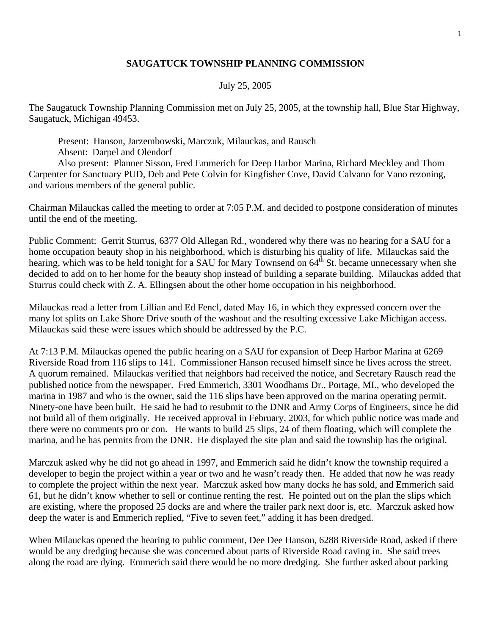## **SAUGATUCK TOWNSHIP PLANNING COMMISSION**

## July 25, 2005

The Saugatuck Township Planning Commission met on July 25, 2005, at the township hall, Blue Star Highway, Saugatuck, Michigan 49453.

 Present: Hanson, Jarzembowski, Marczuk, Milauckas, and Rausch Absent: Darpel and Olendorf

 Also present: Planner Sisson, Fred Emmerich for Deep Harbor Marina, Richard Meckley and Thom Carpenter for Sanctuary PUD, Deb and Pete Colvin for Kingfisher Cove, David Calvano for Vano rezoning, and various members of the general public.

Chairman Milauckas called the meeting to order at 7:05 P.M. and decided to postpone consideration of minutes until the end of the meeting.

Public Comment: Gerrit Sturrus, 6377 Old Allegan Rd., wondered why there was no hearing for a SAU for a home occupation beauty shop in his neighborhood, which is disturbing his quality of life. Milauckas said the hearing, which was to be held tonight for a SAU for Mary Townsend on 64<sup>th</sup> St. became unnecessary when she decided to add on to her home for the beauty shop instead of building a separate building. Milauckas added that Sturrus could check with Z. A. Ellingsen about the other home occupation in his neighborhood.

Milauckas read a letter from Lillian and Ed Fencl, dated May 16, in which they expressed concern over the many lot splits on Lake Shore Drive south of the washout and the resulting excessive Lake Michigan access. Milauckas said these were issues which should be addressed by the P.C.

At 7:13 P.M. Milauckas opened the public hearing on a SAU for expansion of Deep Harbor Marina at 6269 Riverside Road from 116 slips to 141. Commissioner Hanson recused himself since he lives across the street. A quorum remained. Milauckas verified that neighbors had received the notice, and Secretary Rausch read the published notice from the newspaper. Fred Emmerich, 3301 Woodhams Dr., Portage, MI., who developed the marina in 1987 and who is the owner, said the 116 slips have been approved on the marina operating permit. Ninety-one have been built. He said he had to resubmit to the DNR and Army Corps of Engineers, since he did not build all of them originally. He received approval in February, 2003, for which public notice was made and there were no comments pro or con. He wants to build 25 slips, 24 of them floating, which will complete the marina, and he has permits from the DNR. He displayed the site plan and said the township has the original.

Marczuk asked why he did not go ahead in 1997, and Emmerich said he didn't know the township required a developer to begin the project within a year or two and he wasn't ready then. He added that now he was ready to complete the project within the next year. Marczuk asked how many docks he has sold, and Emmerich said 61, but he didn't know whether to sell or continue renting the rest. He pointed out on the plan the slips which are existing, where the proposed 25 docks are and where the trailer park next door is, etc. Marczuk asked how deep the water is and Emmerich replied, "Five to seven feet," adding it has been dredged.

When Milauckas opened the hearing to public comment, Dee Dee Hanson, 6288 Riverside Road, asked if there would be any dredging because she was concerned about parts of Riverside Road caving in. She said trees along the road are dying. Emmerich said there would be no more dredging. She further asked about parking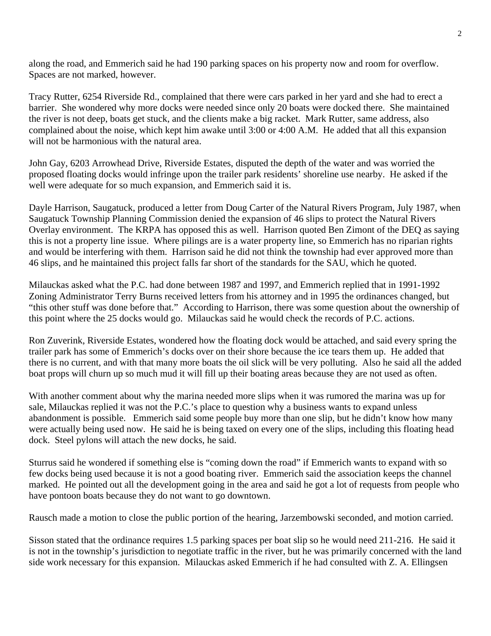along the road, and Emmerich said he had 190 parking spaces on his property now and room for overflow. Spaces are not marked, however.

Tracy Rutter, 6254 Riverside Rd., complained that there were cars parked in her yard and she had to erect a barrier. She wondered why more docks were needed since only 20 boats were docked there. She maintained the river is not deep, boats get stuck, and the clients make a big racket. Mark Rutter, same address, also complained about the noise, which kept him awake until 3:00 or 4:00 A.M. He added that all this expansion will not be harmonious with the natural area.

John Gay, 6203 Arrowhead Drive, Riverside Estates, disputed the depth of the water and was worried the proposed floating docks would infringe upon the trailer park residents' shoreline use nearby. He asked if the well were adequate for so much expansion, and Emmerich said it is.

Dayle Harrison, Saugatuck, produced a letter from Doug Carter of the Natural Rivers Program, July 1987, when Saugatuck Township Planning Commission denied the expansion of 46 slips to protect the Natural Rivers Overlay environment. The KRPA has opposed this as well. Harrison quoted Ben Zimont of the DEQ as saying this is not a property line issue. Where pilings are is a water property line, so Emmerich has no riparian rights and would be interfering with them. Harrison said he did not think the township had ever approved more than 46 slips, and he maintained this project falls far short of the standards for the SAU, which he quoted.

Milauckas asked what the P.C. had done between 1987 and 1997, and Emmerich replied that in 1991-1992 Zoning Administrator Terry Burns received letters from his attorney and in 1995 the ordinances changed, but "this other stuff was done before that." According to Harrison, there was some question about the ownership of this point where the 25 docks would go. Milauckas said he would check the records of P.C. actions.

Ron Zuverink, Riverside Estates, wondered how the floating dock would be attached, and said every spring the trailer park has some of Emmerich's docks over on their shore because the ice tears them up. He added that there is no current, and with that many more boats the oil slick will be very polluting. Also he said all the added boat props will churn up so much mud it will fill up their boating areas because they are not used as often.

With another comment about why the marina needed more slips when it was rumored the marina was up for sale, Milauckas replied it was not the P.C.'s place to question why a business wants to expand unless abandonment is possible. Emmerich said some people buy more than one slip, but he didn't know how many were actually being used now. He said he is being taxed on every one of the slips, including this floating head dock. Steel pylons will attach the new docks, he said.

Sturrus said he wondered if something else is "coming down the road" if Emmerich wants to expand with so few docks being used because it is not a good boating river. Emmerich said the association keeps the channel marked. He pointed out all the development going in the area and said he got a lot of requests from people who have pontoon boats because they do not want to go downtown.

Rausch made a motion to close the public portion of the hearing, Jarzembowski seconded, and motion carried.

Sisson stated that the ordinance requires 1.5 parking spaces per boat slip so he would need 211-216. He said it is not in the township's jurisdiction to negotiate traffic in the river, but he was primarily concerned with the land side work necessary for this expansion. Milauckas asked Emmerich if he had consulted with Z. A. Ellingsen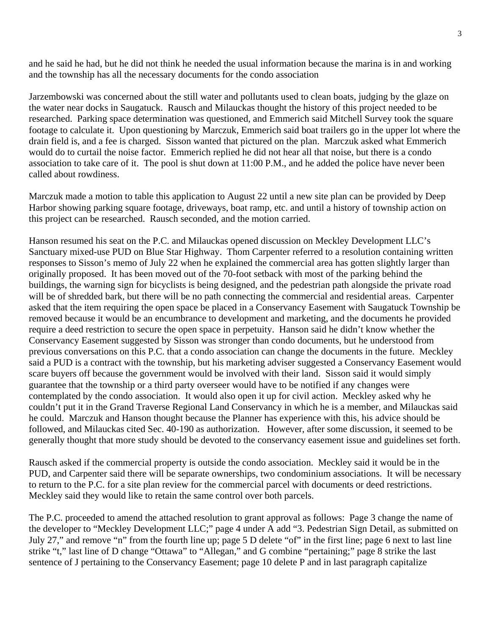and he said he had, but he did not think he needed the usual information because the marina is in and working and the township has all the necessary documents for the condo association

Jarzembowski was concerned about the still water and pollutants used to clean boats, judging by the glaze on the water near docks in Saugatuck. Rausch and Milauckas thought the history of this project needed to be researched. Parking space determination was questioned, and Emmerich said Mitchell Survey took the square footage to calculate it. Upon questioning by Marczuk, Emmerich said boat trailers go in the upper lot where the drain field is, and a fee is charged. Sisson wanted that pictured on the plan. Marczuk asked what Emmerich would do to curtail the noise factor. Emmerich replied he did not hear all that noise, but there is a condo association to take care of it. The pool is shut down at 11:00 P.M., and he added the police have never been called about rowdiness.

Marczuk made a motion to table this application to August 22 until a new site plan can be provided by Deep Harbor showing parking square footage, driveways, boat ramp, etc. and until a history of township action on this project can be researched. Rausch seconded, and the motion carried.

Hanson resumed his seat on the P.C. and Milauckas opened discussion on Meckley Development LLC's Sanctuary mixed-use PUD on Blue Star Highway. Thom Carpenter referred to a resolution containing written responses to Sisson's memo of July 22 when he explained the commercial area has gotten slightly larger than originally proposed. It has been moved out of the 70-foot setback with most of the parking behind the buildings, the warning sign for bicyclists is being designed, and the pedestrian path alongside the private road will be of shredded bark, but there will be no path connecting the commercial and residential areas. Carpenter asked that the item requiring the open space be placed in a Conservancy Easement with Saugatuck Township be removed because it would be an encumbrance to development and marketing, and the documents he provided require a deed restriction to secure the open space in perpetuity. Hanson said he didn't know whether the Conservancy Easement suggested by Sisson was stronger than condo documents, but he understood from previous conversations on this P.C. that a condo association can change the documents in the future. Meckley said a PUD is a contract with the township, but his marketing adviser suggested a Conservancy Easement would scare buyers off because the government would be involved with their land. Sisson said it would simply guarantee that the township or a third party overseer would have to be notified if any changes were contemplated by the condo association. It would also open it up for civil action. Meckley asked why he couldn't put it in the Grand Traverse Regional Land Conservancy in which he is a member, and Milauckas said he could. Marczuk and Hanson thought because the Planner has experience with this, his advice should be followed, and Milauckas cited Sec. 40-190 as authorization. However, after some discussion, it seemed to be generally thought that more study should be devoted to the conservancy easement issue and guidelines set forth.

Rausch asked if the commercial property is outside the condo association. Meckley said it would be in the PUD, and Carpenter said there will be separate ownerships, two condominium associations. It will be necessary to return to the P.C. for a site plan review for the commercial parcel with documents or deed restrictions. Meckley said they would like to retain the same control over both parcels.

The P.C. proceeded to amend the attached resolution to grant approval as follows: Page 3 change the name of the developer to "Meckley Development LLC;" page 4 under A add "3. Pedestrian Sign Detail, as submitted on July 27," and remove "n" from the fourth line up; page 5 D delete "of" in the first line; page 6 next to last line strike "t," last line of D change "Ottawa" to "Allegan," and G combine "pertaining;" page 8 strike the last sentence of J pertaining to the Conservancy Easement; page 10 delete P and in last paragraph capitalize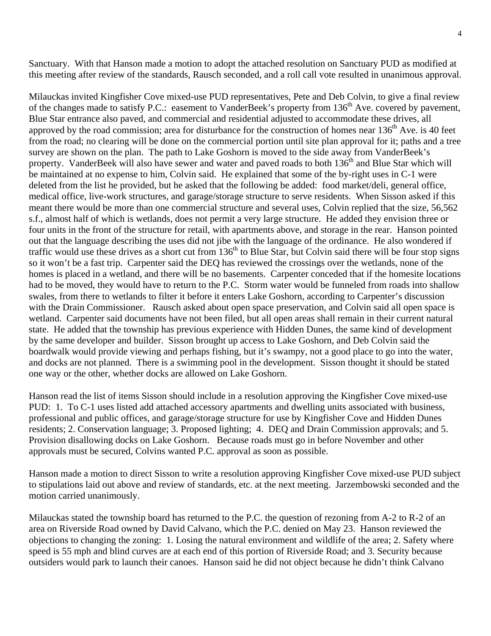Sanctuary. With that Hanson made a motion to adopt the attached resolution on Sanctuary PUD as modified at this meeting after review of the standards, Rausch seconded, and a roll call vote resulted in unanimous approval.

Milauckas invited Kingfisher Cove mixed-use PUD representatives, Pete and Deb Colvin, to give a final review of the changes made to satisfy P.C.: easement to VanderBeek's property from 136<sup>th</sup> Ave. covered by pavement, Blue Star entrance also paved, and commercial and residential adjusted to accommodate these drives, all approved by the road commission; area for disturbance for the construction of homes near  $136<sup>th</sup>$  Ave. is 40 feet from the road; no clearing will be done on the commercial portion until site plan approval for it; paths and a tree survey are shown on the plan. The path to Lake Goshorn is moved to the side away from VanderBeek's property. VanderBeek will also have sewer and water and paved roads to both 136<sup>th</sup> and Blue Star which will be maintained at no expense to him, Colvin said. He explained that some of the by-right uses in C-1 were deleted from the list he provided, but he asked that the following be added: food market/deli, general office, medical office, live-work structures, and garage/storage structure to serve residents. When Sisson asked if this meant there would be more than one commercial structure and several uses, Colvin replied that the size, 56,562 s.f., almost half of which is wetlands, does not permit a very large structure. He added they envision three or four units in the front of the structure for retail, with apartments above, and storage in the rear. Hanson pointed out that the language describing the uses did not jibe with the language of the ordinance. He also wondered if traffic would use these drives as a short cut from  $136<sup>th</sup>$  to Blue Star, but Colvin said there will be four stop signs so it won't be a fast trip. Carpenter said the DEQ has reviewed the crossings over the wetlands, none of the homes is placed in a wetland, and there will be no basements. Carpenter conceded that if the homesite locations had to be moved, they would have to return to the P.C. Storm water would be funneled from roads into shallow swales, from there to wetlands to filter it before it enters Lake Goshorn, according to Carpenter's discussion with the Drain Commissioner. Rausch asked about open space preservation, and Colvin said all open space is wetland. Carpenter said documents have not been filed, but all open areas shall remain in their current natural state. He added that the township has previous experience with Hidden Dunes, the same kind of development by the same developer and builder. Sisson brought up access to Lake Goshorn, and Deb Colvin said the boardwalk would provide viewing and perhaps fishing, but it's swampy, not a good place to go into the water, and docks are not planned. There is a swimming pool in the development. Sisson thought it should be stated one way or the other, whether docks are allowed on Lake Goshorn.

Hanson read the list of items Sisson should include in a resolution approving the Kingfisher Cove mixed-use PUD: 1. To C-1 uses listed add attached accessory apartments and dwelling units associated with business, professional and public offices, and garage/storage structure for use by Kingfisher Cove and Hidden Dunes residents; 2. Conservation language; 3. Proposed lighting; 4. DEQ and Drain Commission approvals; and 5. Provision disallowing docks on Lake Goshorn. Because roads must go in before November and other approvals must be secured, Colvins wanted P.C. approval as soon as possible.

Hanson made a motion to direct Sisson to write a resolution approving Kingfisher Cove mixed-use PUD subject to stipulations laid out above and review of standards, etc. at the next meeting. Jarzembowski seconded and the motion carried unanimously.

Milauckas stated the township board has returned to the P.C. the question of rezoning from A-2 to R-2 of an area on Riverside Road owned by David Calvano, which the P.C. denied on May 23. Hanson reviewed the objections to changing the zoning: 1. Losing the natural environment and wildlife of the area; 2. Safety where speed is 55 mph and blind curves are at each end of this portion of Riverside Road; and 3. Security because outsiders would park to launch their canoes. Hanson said he did not object because he didn't think Calvano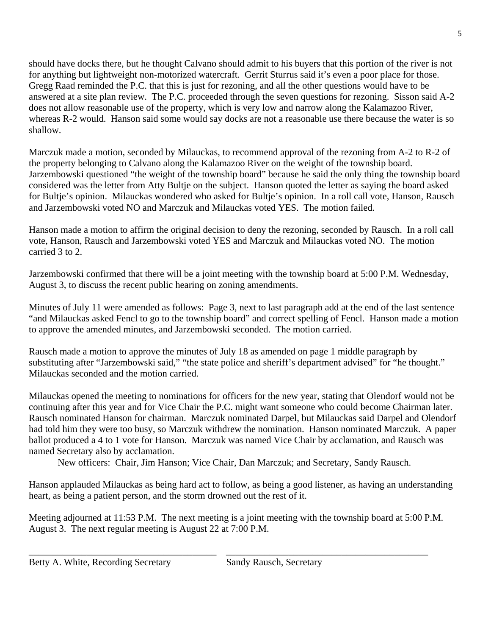should have docks there, but he thought Calvano should admit to his buyers that this portion of the river is not for anything but lightweight non-motorized watercraft. Gerrit Sturrus said it's even a poor place for those. Gregg Raad reminded the P.C. that this is just for rezoning, and all the other questions would have to be answered at a site plan review. The P.C. proceeded through the seven questions for rezoning. Sisson said A-2 does not allow reasonable use of the property, which is very low and narrow along the Kalamazoo River, whereas R-2 would. Hanson said some would say docks are not a reasonable use there because the water is so shallow.

Marczuk made a motion, seconded by Milauckas, to recommend approval of the rezoning from A-2 to R-2 of the property belonging to Calvano along the Kalamazoo River on the weight of the township board. Jarzembowski questioned "the weight of the township board" because he said the only thing the township board considered was the letter from Atty Bultje on the subject. Hanson quoted the letter as saying the board asked for Bultje's opinion. Milauckas wondered who asked for Bultje's opinion. In a roll call vote, Hanson, Rausch and Jarzembowski voted NO and Marczuk and Milauckas voted YES. The motion failed.

Hanson made a motion to affirm the original decision to deny the rezoning, seconded by Rausch. In a roll call vote, Hanson, Rausch and Jarzembowski voted YES and Marczuk and Milauckas voted NO. The motion carried 3 to 2.

Jarzembowski confirmed that there will be a joint meeting with the township board at 5:00 P.M. Wednesday, August 3, to discuss the recent public hearing on zoning amendments.

Minutes of July 11 were amended as follows: Page 3, next to last paragraph add at the end of the last sentence "and Milauckas asked Fencl to go to the township board" and correct spelling of Fencl. Hanson made a motion to approve the amended minutes, and Jarzembowski seconded. The motion carried.

Rausch made a motion to approve the minutes of July 18 as amended on page 1 middle paragraph by substituting after "Jarzembowski said," "the state police and sheriff's department advised" for "he thought." Milauckas seconded and the motion carried.

Milauckas opened the meeting to nominations for officers for the new year, stating that Olendorf would not be continuing after this year and for Vice Chair the P.C. might want someone who could become Chairman later. Rausch nominated Hanson for chairman. Marczuk nominated Darpel, but Milauckas said Darpel and Olendorf had told him they were too busy, so Marczuk withdrew the nomination. Hanson nominated Marczuk. A paper ballot produced a 4 to 1 vote for Hanson. Marczuk was named Vice Chair by acclamation, and Rausch was named Secretary also by acclamation.

New officers: Chair, Jim Hanson; Vice Chair, Dan Marczuk; and Secretary, Sandy Rausch.

Hanson applauded Milauckas as being hard act to follow, as being a good listener, as having an understanding heart, as being a patient person, and the storm drowned out the rest of it.

Meeting adjourned at 11:53 P.M. The next meeting is a joint meeting with the township board at 5:00 P.M. August 3. The next regular meeting is August 22 at 7:00 P.M.

\_\_\_\_\_\_\_\_\_\_\_\_\_\_\_\_\_\_\_\_\_\_\_\_\_\_\_\_\_\_\_\_\_\_\_\_\_\_\_ \_\_\_\_\_\_\_\_\_\_\_\_\_\_\_\_\_\_\_\_\_\_\_\_\_\_\_\_\_\_\_\_\_\_\_\_\_\_\_\_\_\_